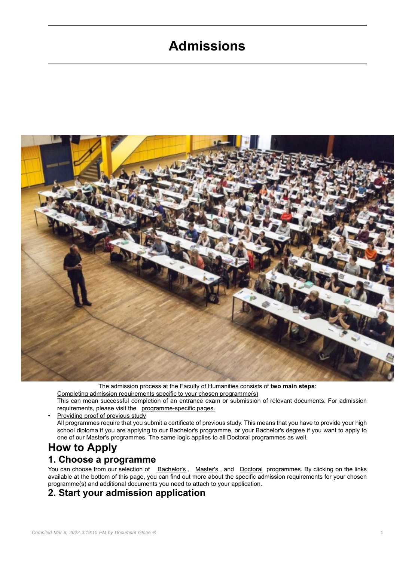# **Admissions**



The admission process at the Faculty of Humanities consists of **two main steps**: Completing admission requirements specific to your chosen programme(s) •

This can mean successful completion of an entrance exam or submission of relevant documents. For admission requirements, please visit the programme-specific pages.

Providing proof of previous study All programmes require that you submit a certificate of previous study. This means that you have to provide your high school diploma if you are applying to our Bachelor's programme, or your Bachelor's degree if you want to apply to one of our Master's programmes. The same logic applies to all Doctoral programmes as well.

# **How to Apply 1. Choose a programme**

You can choose from our selection of <u>Bachelor's</u> , Master's , and Doctoral programmes. By clicking on the links available at the bottom of this page, you can find out more about the specific admission requirements for your chosen programme(s) and additional documents you need to attach to your application.

# **2. Start your admission application**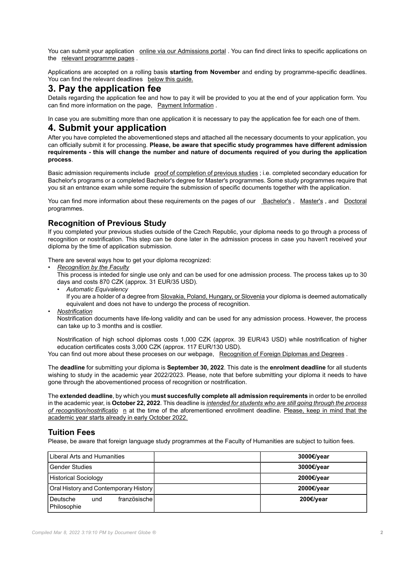You can submit your application [online via our Admissions portal](https://is.cuni.cz/studium/eng/prijimacky/index.php) . You can find direct links to specific applications on the relevant programme pages .

Applications are accepted on a rolling basis **starting from November** and ending by programme-specific deadlines. You can find the relevant deadlines below this guide.

## **3. Pay the application fee**

Details regarding the application fee and how to pay it will be provided to you at the end of your application form. You can find more information on the page, [Payment Information](https://fhs.cuni.cz/FHSENG-657.html) .

In case you are submitting more than one application it is necessary to pay the application fee for each one of them.

### **4. Submit your application**

After you have completed the abovementioned steps and attached all the necessary documents to your application, you can officially submit it for processing. **Please, be aware that specific study programmes have different admission requirements - this will change the number and nature of documents required of you during the application process**.

Basic admission requirements include proof of completion of previous studies ; i.e. completed secondary education for Bachelor's programs or a completed Bachelor's degree for Master's programmes. Some study programmes require that you sit an entrance exam while some require the submission of specific documents together with the application.

You can find more information about these requirements on the pages of our Bachelor's , Master's , and Doctoral programmes.

#### **Recognition of Previous Study**

If you completed your previous studies outside of the Czech Republic, your diploma needs to go through a process of recognition or nostrification. This step can be done later in the admission process in case you haven't received your diploma by the time of application submission.

There are several ways how to get your diploma recognized:

• *Recognition by the Faculty*

This process is inteded for single use only and can be used for one admission process. The process takes up to 30 days and costs 870 CZK (approx. 31 EUR/35 USD).

- *Automatic Equivalency*
	- If you are a holder of a degree from Slovakia, Poland, Hungary, or Slovenia your diploma is deemed automatically equivalent and does not have to undergo the process of recognition.
- *Nostrification*

Nostrification documents have life-long validity and can be used for any admission process. However, the process can take up to 3 months and is costlier.

Nostrification of high school diplomas costs 1,000 CZK (approx. 39 EUR/43 USD) while nostrification of higher education certificates costs 3,000 CZK (approx. 117 EUR/130 USD).

You can find out more about these proceses on our webpage, [Recognition of Foreign Diplomas and Degrees](https://fhs.cuni.cz/FHSENG-912.html) .

The **deadline** for submitting your diploma is **September 30, 2022**. This date is the **enrolment deadline** for all students wishing to study in the academic year 2022/2023. Please, note that before submitting your diploma it needs to have gone through the abovementioned process of recognition or nostrification.

The **extended deadline**, by which you **must succesfully complete all admission requirements** in order to be enrolled in the academic year, is **October 22, 2022**. This deadline is *intended for students who are still going through the process of recognition/nostrificatio* n at the time of the aforementioned enrollment deadline. Please, keep in mind that the academic year starts already in early October 2022.

#### **Tuition Fees**

Please, be aware that foreign language study programmes at the Faculty of Humanities are subject to tuition fees.

| Liberal Arts and Humanities                      | 3000€/year |
|--------------------------------------------------|------------|
| <b>Gender Studies</b>                            | 3000€/year |
| <b>Historical Sociology</b>                      | 2000€/year |
| Oral History and Contemporary History            | 2000€/year |
| französische l<br>Deutsche<br>und<br>Philosophie | 200€/year  |